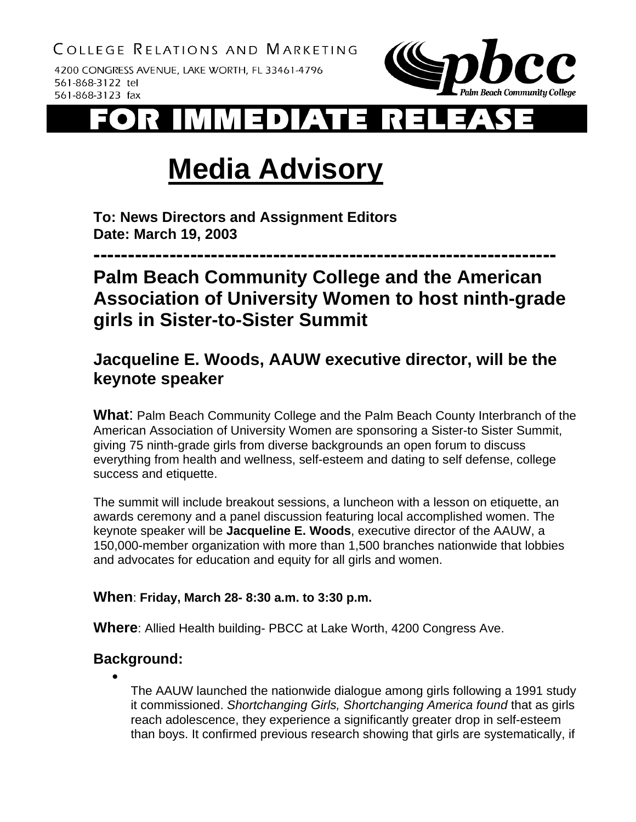4200 CONGRESS AVENUE, LAKE WORTH, FL 33461-4796 561-868-3122 tel 561-868-3123 fax



# **Media Advisory**

**To: News Directors and Assignment Editors Date: March 19, 2003**

**-------------------------------------------------------------------** 

# **Palm Beach Community College and the American Association of University Women to host ninth-grade girls in Sister-to-Sister Summit**

## **Jacqueline E. Woods, AAUW executive director, will be the keynote speaker**

**What**: Palm Beach Community College and the Palm Beach County Interbranch of the American Association of University Women are sponsoring a Sister-to Sister Summit, giving 75 ninth-grade girls from diverse backgrounds an open forum to discuss everything from health and wellness, self-esteem and dating to self defense, college success and etiquette.

The summit will include breakout sessions, a luncheon with a lesson on etiquette, an awards ceremony and a panel discussion featuring local accomplished women. The keynote speaker will be **Jacqueline E. Woods**, executive director of the AAUW, a 150,000-member organization with more than 1,500 branches nationwide that lobbies and advocates for education and equity for all girls and women.

#### **When**: **Friday, March 28- 8:30 a.m. to 3:30 p.m.**

**Where**: Allied Health building- PBCC at Lake Worth, 4200 Congress Ave.

### **Background:**

•

The AAUW launched the nationwide dialogue among girls following a 1991 study it commissioned. *Shortchanging Girls, Shortchanging America found* that as girls reach adolescence, they experience a significantly greater drop in self-esteem than boys. It confirmed previous research showing that girls are systematically, if